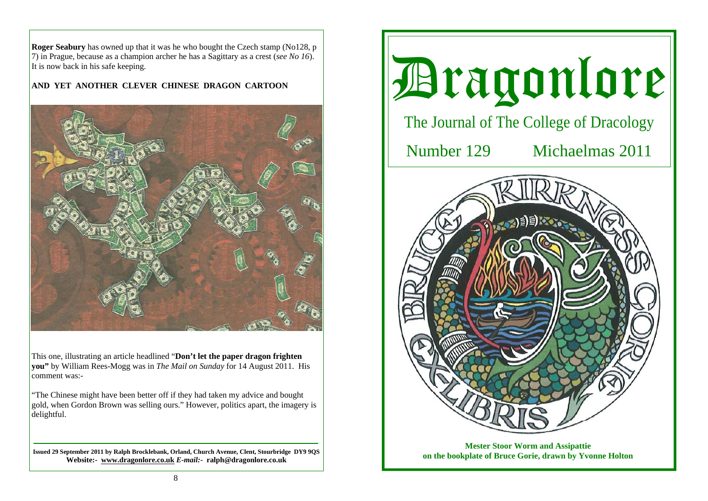**Roger Seabury** has owned up that it was he who bought the Czech stamp (No128, p 7) in Prague, because as a champion archer he has a Sagittary as a crest (*see No 16*). It is now back in his safe keeping.

# **AND YET ANOTHER CLEVER CHINESE DRAGON CARTOON**



This one, illustrating an article headlined "**Don't let the paper dragon frighten you"** by William Rees-Mogg was in *The Mail on Sunday* for 14 August 2011. His comment was:-

"The Chinese might have been better off if they had taken my advice and bought gold, when Gordon Brown was selling ours." However, politics apart, the imagery is delightful.

**Issued 29 September 2011 by Ralph Brocklebank, Orland, Church Avenue, Clent, Stourbridge DY9 9QS Website:- www.dragonlore.co.uk** *E-mail:-* **ralph@dragonlore.co.uk**



**on the bookplate of Bruce Gorie, drawn by Yvonne Holton**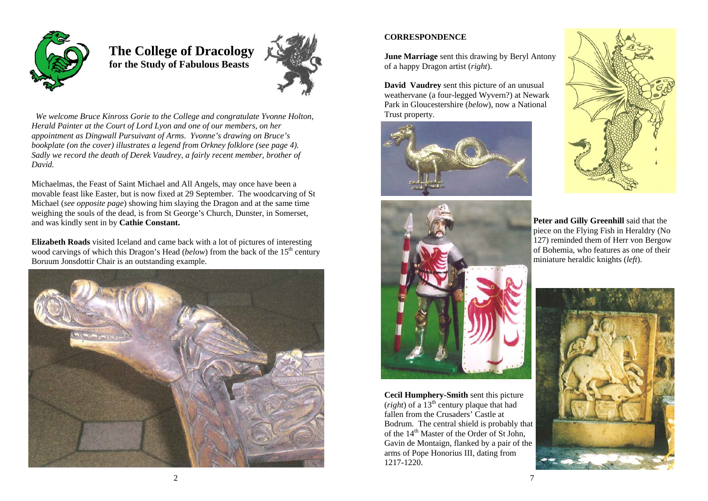

 **The College of Dracology for the Study of Fabulous Beasts** 



*We welcome Bruce Kinross Gorie to the College and congratulate Yvonne Holton, Herald Painter at the Court of Lord Lyon and one of our members, on her appointment as Dingwall Pursuivant of Arms. Yvonne's drawing on Bruce's bookplate (on the cover) illustrates a legend from Orkney folklore (see page 4). Sadly we record the death of Derek Vaudrey, a fairly recent member, brother of David.* 

Michaelmas, the Feast of Saint Michael and All Angels, may once have been a movable feast like Easter, but is now fixed at 29 September. The woodcarving of St Michael (*see opposite page*) showing him slaying the Dragon and at the same time weighing the souls of the dead, is from St George's Church, Dunster, in Somerset, and was kindly sent in by **Cathie Constant.**

**Elizabeth Roads** visited Iceland and came back with a lot of pictures of interesting wood carvings of which this Dragon's Head (*below*) from the back of the 15<sup>th</sup> century Boruum Jonsdottir Chair is an outstanding example.



## **CORRESPONDENCE**

**June Marriage** sent this drawing by Beryl Antony of a happy Dragon artist (*right*).

**David Vaudrey** sent this picture of an unusual weathervane (a four-legged Wyvern?) at Newark Park in Gloucestershire (*below*), now a National Trust property.







**Cecil Humphery-Smith** sent this picture (*right*) of a 13th century plaque that had fallen from the Crusaders' Castle at Bodrum. The central shield is probably that of the 14<sup>th</sup> Master of the Order of St John, Gavin de Montaign, flanked by a pair of the arms of Pope Honorius III, dating from 1217-1220.

**Peter and Gilly Greenhill** said that the piece on the Flying Fish in Heraldry (No 127) reminded them of Herr von Bergow of Bohemia, who features as one of their miniature heraldic knights (*left*).

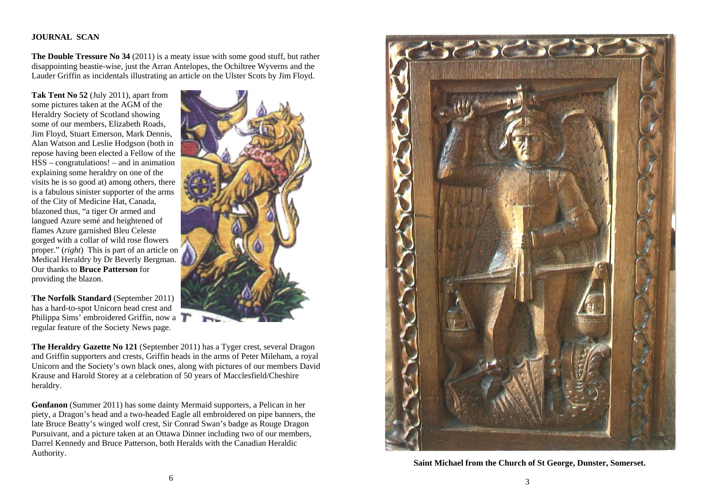## **JOURNAL SCAN**

**The Double Tressure No 34** (2011) is a meaty issue with some good stuff, but rather disappointing beastie-wise, just the Arran Antelopes, the Ochiltree Wyverns and the Lauder Griffin as incidentals illustrating an article on the Ulster Scots by Jim Floyd.

**Tak Tent No 52** (July 2011), apart from some pictures taken at the AGM of the Heraldry Society of Scotland showing some of our members, Elizabeth Roads, Jim Floyd, Stuart Emerson, Mark Dennis, Alan Watson and Leslie Hodgson (both in repose having been elected a Fellow of the HSS – congratulations! – and in animation explaining some heraldry on one of the visits he is so good at) among others, there is a fabulous sinister supporter of the arms of the City of Medicine Hat, Canada, blazoned thus, "a tiger Or armed and langued Azure semé and heightened of flames Azure garnished Bleu Celeste gorged with a collar of wild rose flowers proper." (*right*) This is part of an article on Medical Heraldry by Dr Beverly Bergman. Our thanks to **Bruce Patterson** for providing the blazon.



**The Norfolk Standard** (September 2011) has a hard-to-spot Unicorn head crest and Philippa Sims' embroidered Griffin, now a regular feature of the Society News page.

**The Heraldry Gazette No 121** (September 2011) has a Tyger crest, several Dragon and Griffin supporters and crests, Griffin heads in the arms of Peter Mileham, a royal Unicorn and the Society's own black ones, along with pictures of our members David Krause and Harold Storey at a celebration of 50 years of Macclesfield/Cheshire heraldry.

**Gonfanon** (Summer 2011) has some dainty Mermaid supporters, a Pelican in her piety, a Dragon's head and a two-headed Eagle all embroidered on pipe banners, the late Bruce Beatty's winged wolf crest, Sir Conrad Swan's badge as Rouge Dragon Pursuivant, and a picture taken at an Ottawa Dinner including two of our members, Darrel Kennedy and Bruce Patterson, both Heralds with the Canadian Heraldic Authority.



**Saint Michael from the Church of St George, Dunster, Somerset.**